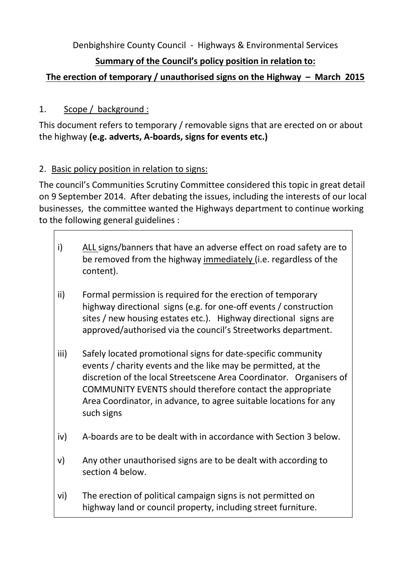Denbighshire County Council - Highways & Environmental Services

## **Summary of the Council's policy position in relation to:**

# **The erection of temporary / unauthorised signs on the Highway – March 2015**

## 1. Scope / background :

This document refers to temporary / removable signs that are erected on or about the highway **(e.g. adverts, A-boards, signs for events etc.)**

### 2. Basic policy position in relation to signs:

The council's Communities Scrutiny Committee considered this topic in great detail on 9 September 2014. After debating the issues, including the interests of our local businesses, the committee wanted the Highways department to continue working to the following general guidelines :

- i) ALL signs/banners that have an adverse effect on road safety are to be removed from the highway immediately (i.e. regardless of the content).
- ii) Formal permission is required for the erection of temporary highway directional signs (e.g. for one-off events / construction sites / new housing estates etc.). Highway directional signs are approved/authorised via the council's Streetworks department.
- iii) Safely located promotional signs for date-specific community events / charity events and the like may be permitted, at the discretion of the local Streetscene Area Coordinator. Organisers of COMMUNITY EVENTS should therefore contact the appropriate Area Coordinator, in advance, to agree suitable locations for any such signs
- iv) A-boards are to be dealt with in accordance with Section 3 below.
- v) Any other unauthorised signs are to be dealt with according to section 4 below.
- vi) The erection of political campaign signs is not permitted on highway land or council property, including street furniture.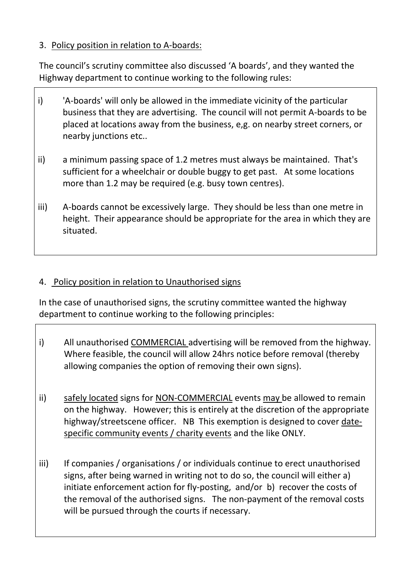### 3. Policy position in relation to A-boards:

The council's scrutiny committee also discussed 'A boards', and they wanted the Highway department to continue working to the following rules:

- i) 'A-boards' will only be allowed in the immediate vicinity of the particular business that they are advertising. The council will not permit A-boards to be placed at locations away from the business, e,g. on nearby street corners, or nearby junctions etc..
- ii) a minimum passing space of 1.2 metres must always be maintained. That's sufficient for a wheelchair or double buggy to get past. At some locations more than 1.2 may be required (e.g. busy town centres).
- iii) A-boards cannot be excessively large. They should be less than one metre in height. Their appearance should be appropriate for the area in which they are situated.

#### 4. Policy position in relation to Unauthorised signs

In the case of unauthorised signs, the scrutiny committee wanted the highway department to continue working to the following principles:

- i) All unauthorised COMMERCIAL advertising will be removed from the highway. Where feasible, the council will allow 24hrs notice before removal (thereby allowing companies the option of removing their own signs).
- ii) safely located signs for NON-COMMERCIAL events may be allowed to remain on the highway. However; this is entirely at the discretion of the appropriate highway/streetscene officer. NB This exemption is designed to cover datespecific community events / charity events and the like ONLY.
- iii) If companies / organisations / or individuals continue to erect unauthorised signs, after being warned in writing not to do so, the council will either a) initiate enforcement action for fly-posting, and/or b) recover the costs of the removal of the authorised signs. The non-payment of the removal costs will be pursued through the courts if necessary.